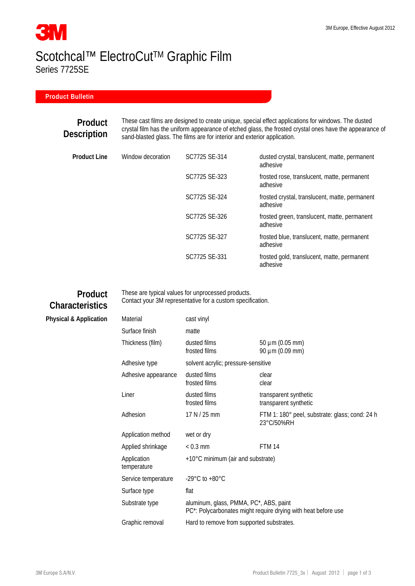# **3M** Scotchcal™ ElectroCut™ Graphic Film Series 7725SE

#### **Product Bulletin**

#### **Product Description**

These cast films are designed to create unique, special effect applications for windows. The dusted crystal film has the uniform appearance of etched glass, the frosted crystal ones have the appearance of sand-blasted glass. The films are for interior and exterior application.

| Product Line | Window decoration | SC7725 SE-314 | dusted crystal, translucent, matte, permanent<br>adhesive  |
|--------------|-------------------|---------------|------------------------------------------------------------|
|              |                   | SC7725 SE-323 | frosted rose, translucent, matte, permanent<br>adhesive    |
|              |                   | SC7725 SE-324 | frosted crystal, translucent, matte, permanent<br>adhesive |
|              |                   | SC7725 SE-326 | frosted green, translucent, matte, permanent<br>adhesive   |
|              |                   | SC7725 SE-327 | frosted blue, translucent, matte, permanent<br>adhesive    |
|              |                   | SC7725 SE-331 | frosted gold, translucent, matte, permanent<br>adhesive    |

### **Product Characteristics**

**Physical & Application** 

These are typical values for unprocessed products. Contact your 3M representative for a custom specification.

| Material                   | cast vinyl                                                                                              |                                                              |  |
|----------------------------|---------------------------------------------------------------------------------------------------------|--------------------------------------------------------------|--|
| Surface finish             | matte                                                                                                   |                                                              |  |
| Thickness (film)           | dusted films<br>frosted films                                                                           | $50 \mu m (0.05 mm)$<br>90 µm (0.09 mm)                      |  |
| Adhesive type              | solvent acrylic; pressure-sensitive                                                                     |                                                              |  |
| Adhesive appearance        | dusted films<br>frosted films                                                                           | clear<br>clear                                               |  |
| Liner                      | dusted films<br>frosted films                                                                           | transparent synthetic<br>transparent synthetic               |  |
| Adhesion                   | 17 N / 25 mm                                                                                            | FTM 1: 180° peel, substrate: glass; cond: 24 h<br>23°C/50%RH |  |
| Application method         | wet or dry                                                                                              |                                                              |  |
| Applied shrinkage          | $< 0.3$ mm                                                                                              | <b>FTM 14</b>                                                |  |
| Application<br>temperature | +10°C minimum (air and substrate)                                                                       |                                                              |  |
| Service temperature        | -29 $^{\circ}$ C to +80 $^{\circ}$ C                                                                    |                                                              |  |
| Surface type               | flat                                                                                                    |                                                              |  |
| Substrate type             | aluminum, glass, PMMA, PC*, ABS, paint<br>PC*: Polycarbonates might require drying with heat before use |                                                              |  |
| Graphic removal            | Hard to remove from supported substrates.                                                               |                                                              |  |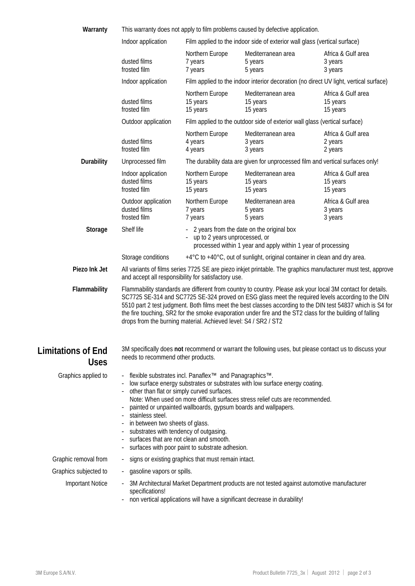| Warranty                                 | This warranty does not apply to film problems caused by defective application.                                                                                                                                                                                                                                                                                                                                                                                                                                                                      |                                                                                |                                                                                                                                                                         |                                                                                                         |  |  |
|------------------------------------------|-----------------------------------------------------------------------------------------------------------------------------------------------------------------------------------------------------------------------------------------------------------------------------------------------------------------------------------------------------------------------------------------------------------------------------------------------------------------------------------------------------------------------------------------------------|--------------------------------------------------------------------------------|-------------------------------------------------------------------------------------------------------------------------------------------------------------------------|---------------------------------------------------------------------------------------------------------|--|--|
|                                          | Film applied to the indoor side of exterior wall glass (vertical surface)<br>Indoor application                                                                                                                                                                                                                                                                                                                                                                                                                                                     |                                                                                |                                                                                                                                                                         |                                                                                                         |  |  |
|                                          | dusted films<br>frosted film                                                                                                                                                                                                                                                                                                                                                                                                                                                                                                                        | Northern Europe<br>7 years<br>7 years                                          | Mediterranean area<br>5 years<br>5 years                                                                                                                                | Africa & Gulf area<br>3 years<br>3 years                                                                |  |  |
|                                          | Indoor application                                                                                                                                                                                                                                                                                                                                                                                                                                                                                                                                  |                                                                                |                                                                                                                                                                         | Film applied to the indoor interior decoration (no direct UV light, vertical surface)                   |  |  |
|                                          | dusted films<br>frosted film                                                                                                                                                                                                                                                                                                                                                                                                                                                                                                                        | Northern Europe<br>15 years<br>15 years                                        | Mediterranean area<br>15 years<br>15 years                                                                                                                              | Africa & Gulf area<br>15 years<br>15 years                                                              |  |  |
|                                          | Outdoor application                                                                                                                                                                                                                                                                                                                                                                                                                                                                                                                                 |                                                                                | Film applied to the outdoor side of exterior wall glass (vertical surface)                                                                                              |                                                                                                         |  |  |
|                                          | dusted films<br>frosted film                                                                                                                                                                                                                                                                                                                                                                                                                                                                                                                        | Northern Europe<br>4 years<br>4 years                                          | Mediterranean area<br>3 years<br>3 years                                                                                                                                | Africa & Gulf area<br>2 years<br>2 years                                                                |  |  |
| Durability                               | Unprocessed film                                                                                                                                                                                                                                                                                                                                                                                                                                                                                                                                    | The durability data are given for unprocessed film and vertical surfaces only! |                                                                                                                                                                         |                                                                                                         |  |  |
|                                          | Indoor application<br>dusted films<br>frosted film                                                                                                                                                                                                                                                                                                                                                                                                                                                                                                  | Northern Europe<br>15 years<br>15 years                                        | Mediterranean area<br>15 years<br>15 years                                                                                                                              | Africa & Gulf area<br>15 years<br>15 years                                                              |  |  |
|                                          | Outdoor application<br>dusted films<br>frosted film                                                                                                                                                                                                                                                                                                                                                                                                                                                                                                 | Northern Europe<br>7 years<br>7 years                                          | Mediterranean area<br>5 years<br>5 years                                                                                                                                | Africa & Gulf area<br>3 years<br>3 years                                                                |  |  |
| Storage                                  | Shelf life<br>2 years from the date on the original box<br>up to 2 years unprocessed, or<br>processed within 1 year and apply within 1 year of processing                                                                                                                                                                                                                                                                                                                                                                                           |                                                                                |                                                                                                                                                                         |                                                                                                         |  |  |
|                                          | +4°C to +40°C, out of sunlight, original container in clean and dry area.<br>Storage conditions                                                                                                                                                                                                                                                                                                                                                                                                                                                     |                                                                                |                                                                                                                                                                         |                                                                                                         |  |  |
| Piezo Ink Jet                            | All variants of films series 7725 SE are piezo inkjet printable. The graphics manufacturer must test, approve<br>and accept all responsibility for satisfactory use.                                                                                                                                                                                                                                                                                                                                                                                |                                                                                |                                                                                                                                                                         |                                                                                                         |  |  |
| Flammability                             | Flammability standards are different from country to country. Please ask your local 3M contact for details.<br>SC7725 SE-314 and SC7725 SE-324 proved on ESG glass meet the required levels according to the DIN<br>5510 part 2 test judgment. Both films meet the best classes according to the DIN test 54837 which is S4 for<br>the fire touching, SR2 for the smoke evaporation under fire and the ST2 class for the building of falling<br>drops from the burning material. Achieved level: S4 / SR2 / ST2                                     |                                                                                |                                                                                                                                                                         |                                                                                                         |  |  |
| <b>Limitations of End</b><br><b>Uses</b> | needs to recommend other products.                                                                                                                                                                                                                                                                                                                                                                                                                                                                                                                  |                                                                                |                                                                                                                                                                         | 3M specifically does not recommend or warrant the following uses, but please contact us to discuss your |  |  |
| Graphics applied to                      | flexible substrates incl. Panaflex <sup>™</sup> and Panagraphics™.<br>low surface energy substrates or substrates with low surface energy coating.<br>other than flat or simply curved surfaces.<br>Note: When used on more difficult surfaces stress relief cuts are recommended.<br>painted or unpainted wallboards, gypsum boards and wallpapers.<br>stainless steel.<br>in between two sheets of glass.<br>substrates with tendency of outgasing.<br>surfaces that are not clean and smooth.<br>surfaces with poor paint to substrate adhesion. |                                                                                |                                                                                                                                                                         |                                                                                                         |  |  |
| Graphic removal from                     | signs or existing graphics that must remain intact.<br>н.                                                                                                                                                                                                                                                                                                                                                                                                                                                                                           |                                                                                |                                                                                                                                                                         |                                                                                                         |  |  |
| Graphics subjected to                    | gasoline vapors or spills.<br>$\sim$                                                                                                                                                                                                                                                                                                                                                                                                                                                                                                                |                                                                                |                                                                                                                                                                         |                                                                                                         |  |  |
| <b>Important Notice</b>                  | specifications!                                                                                                                                                                                                                                                                                                                                                                                                                                                                                                                                     |                                                                                | 3M Architectural Market Department products are not tested against automotive manufacturer<br>non vertical applications will have a significant decrease in durability! |                                                                                                         |  |  |